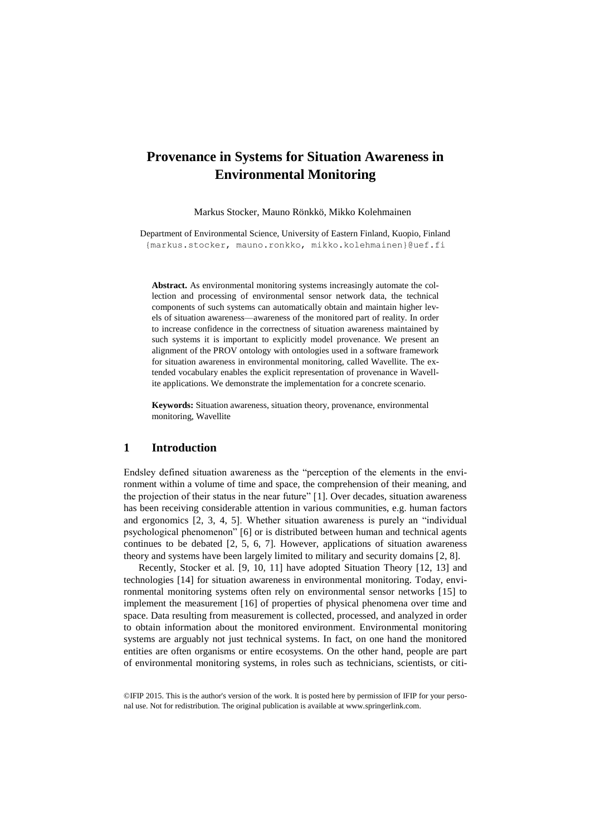# **Provenance in Systems for Situation Awareness in Environmental Monitoring**

Markus Stocker, Mauno Rönkkö, Mikko Kolehmainen

Department of Environmental Science, University of Eastern Finland, Kuopio, Finland {markus.stocker, mauno.ronkko, [mikko.kolehmainen}@uef.fi](mailto:mikko.kolehmainen%7d@uef.fi)

**Abstract.** As environmental monitoring systems increasingly automate the collection and processing of environmental sensor network data, the technical components of such systems can automatically obtain and maintain higher levels of situation awareness—awareness of the monitored part of reality. In order to increase confidence in the correctness of situation awareness maintained by such systems it is important to explicitly model provenance. We present an alignment of the PROV ontology with ontologies used in a software framework for situation awareness in environmental monitoring, called Wavellite. The extended vocabulary enables the explicit representation of provenance in Wavellite applications. We demonstrate the implementation for a concrete scenario.

**Keywords:** Situation awareness, situation theory, provenance, environmental monitoring, Wavellite

#### **1 Introduction**

Endsley defined situation awareness as the "perception of the elements in the environment within a volume of time and space, the comprehension of their meaning, and the projection of their status in the near future" [1]. Over decades, situation awareness has been receiving considerable attention in various communities, e.g. human factors and ergonomics [2, 3, 4, 5]. Whether situation awareness is purely an "individual psychological phenomenon" [6] or is distributed between human and technical agents continues to be debated [2, 5, 6, 7]. However, applications of situation awareness theory and systems have been largely limited to military and security domains [2, 8].

Recently, Stocker et al. [9, 10, 11] have adopted Situation Theory [12, 13] and technologies [14] for situation awareness in environmental monitoring. Today, environmental monitoring systems often rely on environmental sensor networks [15] to implement the measurement [16] of properties of physical phenomena over time and space. Data resulting from measurement is collected, processed, and analyzed in order to obtain information about the monitored environment. Environmental monitoring systems are arguably not just technical systems. In fact, on one hand the monitored entities are often organisms or entire ecosystems. On the other hand, people are part of environmental monitoring systems, in roles such as technicians, scientists, or citi-

©IFIP 2015. This is the author's version of the work. It is posted here by permission of IFIP for your personal use. Not for redistribution. The original publication is available at www.springerlink.com.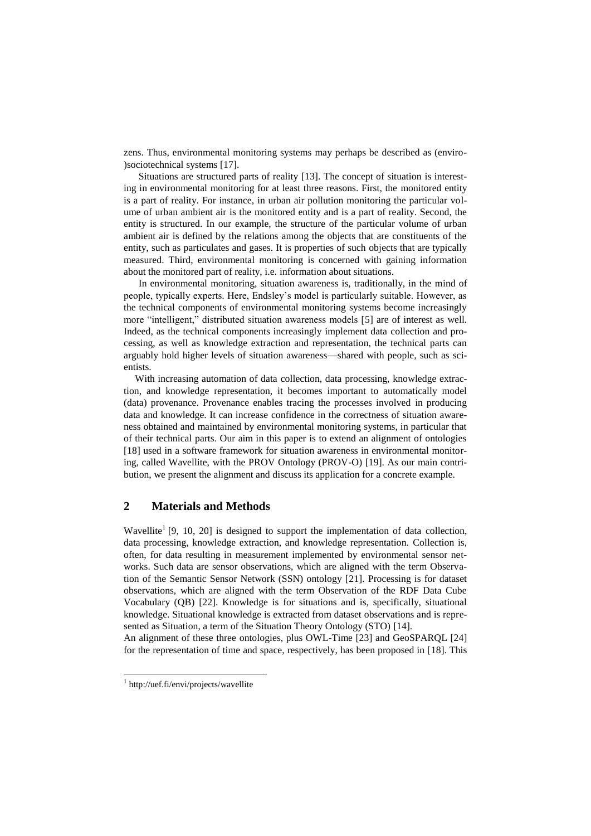zens. Thus, environmental monitoring systems may perhaps be described as (enviro- )sociotechnical systems [17].

Situations are structured parts of reality [13]. The concept of situation is interesting in environmental monitoring for at least three reasons. First, the monitored entity is a part of reality. For instance, in urban air pollution monitoring the particular volume of urban ambient air is the monitored entity and is a part of reality. Second, the entity is structured. In our example, the structure of the particular volume of urban ambient air is defined by the relations among the objects that are constituents of the entity, such as particulates and gases. It is properties of such objects that are typically measured. Third, environmental monitoring is concerned with gaining information about the monitored part of reality, i.e. information about situations.

In environmental monitoring, situation awareness is, traditionally, in the mind of people, typically experts. Here, Endsley's model is particularly suitable. However, as the technical components of environmental monitoring systems become increasingly more "intelligent," distributed situation awareness models [5] are of interest as well. Indeed, as the technical components increasingly implement data collection and processing, as well as knowledge extraction and representation, the technical parts can arguably hold higher levels of situation awareness—shared with people, such as scientists.

With increasing automation of data collection, data processing, knowledge extraction, and knowledge representation, it becomes important to automatically model (data) provenance. Provenance enables tracing the processes involved in producing data and knowledge. It can increase confidence in the correctness of situation awareness obtained and maintained by environmental monitoring systems, in particular that of their technical parts. Our aim in this paper is to extend an alignment of ontologies [18] used in a software framework for situation awareness in environmental monitoring, called Wavellite, with the PROV Ontology (PROV-O) [19]. As our main contribution, we present the alignment and discuss its application for a concrete example.

## **2 Materials and Methods**

Wavellite<sup>1</sup> [9, 10, 20] is designed to support the implementation of data collection, data processing, knowledge extraction, and knowledge representation. Collection is, often, for data resulting in measurement implemented by environmental sensor networks. Such data are sensor observations, which are aligned with the term Observation of the Semantic Sensor Network (SSN) ontology [21]. Processing is for dataset observations, which are aligned with the term Observation of the RDF Data Cube Vocabulary (QB) [22]. Knowledge is for situations and is, specifically, situational knowledge. Situational knowledge is extracted from dataset observations and is represented as Situation, a term of the Situation Theory Ontology (STO) [14].

An alignment of these three ontologies, plus OWL-Time [23] and GeoSPARQL [24] for the representation of time and space, respectively, has been proposed in [18]. This

 $\overline{a}$ 

<sup>1</sup> http://uef.fi/envi/projects/wavellite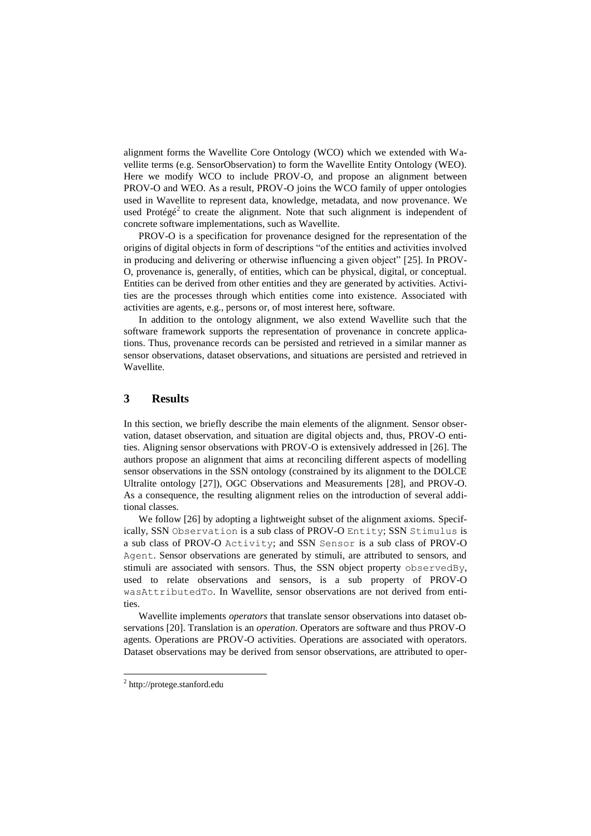alignment forms the Wavellite Core Ontology (WCO) which we extended with Wavellite terms (e.g. SensorObservation) to form the Wavellite Entity Ontology (WEO). Here we modify WCO to include PROV-O, and propose an alignment between PROV-O and WEO. As a result, PROV-O joins the WCO family of upper ontologies used in Wavellite to represent data, knowledge, metadata, and now provenance. We used Protégé<sup>2</sup> to create the alignment. Note that such alignment is independent of concrete software implementations, such as Wavellite.

PROV-O is a specification for provenance designed for the representation of the origins of digital objects in form of descriptions "of the entities and activities involved in producing and delivering or otherwise influencing a given object" [25]. In PROV-O, provenance is, generally, of entities, which can be physical, digital, or conceptual. Entities can be derived from other entities and they are generated by activities. Activities are the processes through which entities come into existence. Associated with activities are agents, e.g., persons or, of most interest here, software.

In addition to the ontology alignment, we also extend Wavellite such that the software framework supports the representation of provenance in concrete applications. Thus, provenance records can be persisted and retrieved in a similar manner as sensor observations, dataset observations, and situations are persisted and retrieved in Wavellite.

### **3 Results**

In this section, we briefly describe the main elements of the alignment. Sensor observation, dataset observation, and situation are digital objects and, thus, PROV-O entities. Aligning sensor observations with PROV-O is extensively addressed in [26]. The authors propose an alignment that aims at reconciling different aspects of modelling sensor observations in the SSN ontology (constrained by its alignment to the DOLCE Ultralite ontology [27]), OGC Observations and Measurements [28], and PROV-O. As a consequence, the resulting alignment relies on the introduction of several additional classes.

We follow [26] by adopting a lightweight subset of the alignment axioms. Specifically, SSN Observation is a sub class of PROV-O Entity; SSN Stimulus is a sub class of PROV-O Activity; and SSN Sensor is a sub class of PROV-O Agent. Sensor observations are generated by stimuli, are attributed to sensors, and stimuli are associated with sensors. Thus, the SSN object property observedBy, used to relate observations and sensors, is a sub property of PROV-O wasAttributedTo. In Wavellite, sensor observations are not derived from entities.

Wavellite implements *operators* that translate sensor observations into dataset observations [20]. Translation is an *operation*. Operators are software and thus PROV-O agents. Operations are PROV-O activities. Operations are associated with operators. Dataset observations may be derived from sensor observations, are attributed to oper-

 $\overline{a}$ 

<sup>&</sup>lt;sup>2</sup> http://protege.stanford.edu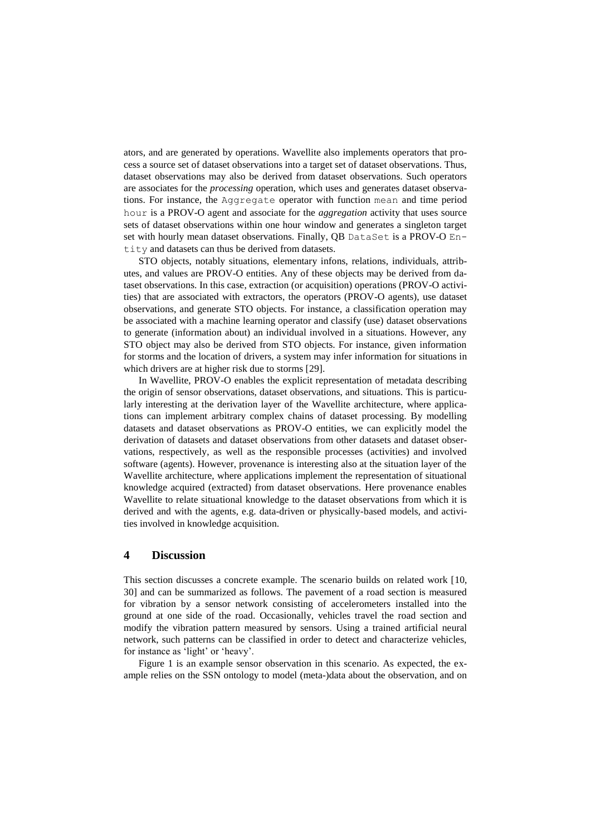ators, and are generated by operations. Wavellite also implements operators that process a source set of dataset observations into a target set of dataset observations. Thus, dataset observations may also be derived from dataset observations. Such operators are associates for the *processing* operation, which uses and generates dataset observations. For instance, the Aggregate operator with function mean and time period hour is a PROV-O agent and associate for the *aggregation* activity that uses source sets of dataset observations within one hour window and generates a singleton target set with hourly mean dataset observations. Finally, QB DataSet is a PROV-O Entity and datasets can thus be derived from datasets.

STO objects, notably situations, elementary infons, relations, individuals, attributes, and values are PROV-O entities. Any of these objects may be derived from dataset observations. In this case, extraction (or acquisition) operations (PROV-O activities) that are associated with extractors, the operators (PROV-O agents), use dataset observations, and generate STO objects. For instance, a classification operation may be associated with a machine learning operator and classify (use) dataset observations to generate (information about) an individual involved in a situations. However, any STO object may also be derived from STO objects. For instance, given information for storms and the location of drivers, a system may infer information for situations in which drivers are at higher risk due to storms [29].

In Wavellite, PROV-O enables the explicit representation of metadata describing the origin of sensor observations, dataset observations, and situations. This is particularly interesting at the derivation layer of the Wavellite architecture, where applications can implement arbitrary complex chains of dataset processing. By modelling datasets and dataset observations as PROV-O entities, we can explicitly model the derivation of datasets and dataset observations from other datasets and dataset observations, respectively, as well as the responsible processes (activities) and involved software (agents). However, provenance is interesting also at the situation layer of the Wavellite architecture, where applications implement the representation of situational knowledge acquired (extracted) from dataset observations. Here provenance enables Wavellite to relate situational knowledge to the dataset observations from which it is derived and with the agents, e.g. data-driven or physically-based models, and activities involved in knowledge acquisition.

### **4 Discussion**

This section discusses a concrete example. The scenario builds on related work [10, 30] and can be summarized as follows. The pavement of a road section is measured for vibration by a sensor network consisting of accelerometers installed into the ground at one side of the road. Occasionally, vehicles travel the road section and modify the vibration pattern measured by sensors. Using a trained artificial neural network, such patterns can be classified in order to detect and characterize vehicles, for instance as 'light' or 'heavy'.

Figure 1 is an example sensor observation in this scenario. As expected, the example relies on the SSN ontology to model (meta-)data about the observation, and on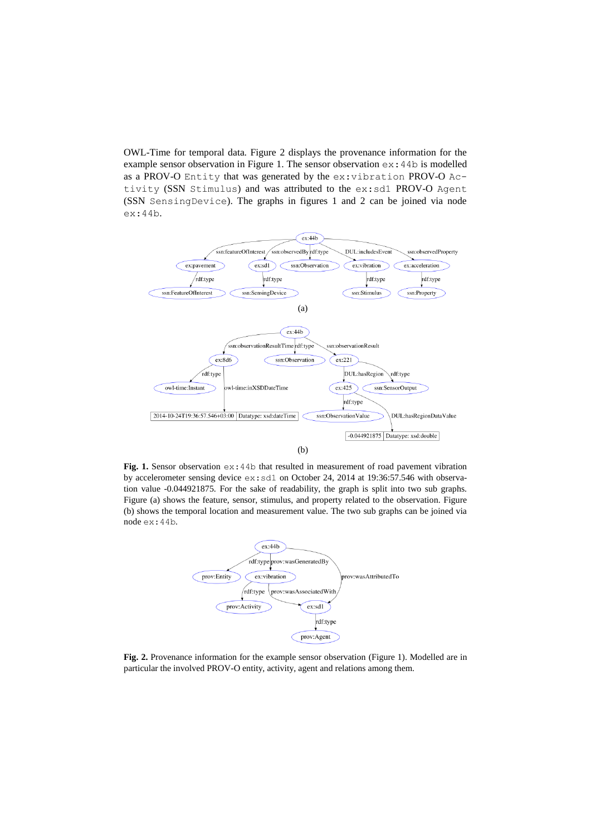OWL-Time for temporal data. Figure 2 displays the provenance information for the example sensor observation in Figure 1. The sensor observation ex:44b is modelled as a PROV-O Entity that was generated by the ex:vibration PROV-O Activity (SSN Stimulus) and was attributed to the ex:sd1 PROV-O Agent (SSN SensingDevice). The graphs in figures 1 and 2 can be joined via node ex:44b.



**Fig. 1.** Sensor observation  $\epsilon \times 44b$  that resulted in measurement of road pavement vibration by accelerometer sensing device ex:sd1 on October 24, 2014 at 19:36:57.546 with observation value -0.044921875. For the sake of readability, the graph is split into two sub graphs. Figure (a) shows the feature, sensor, stimulus, and property related to the observation. Figure (b) shows the temporal location and measurement value. The two sub graphs can be joined via node ex:44b.



**Fig. 2.** Provenance information for the example sensor observation (Figure 1). Modelled are in particular the involved PROV-O entity, activity, agent and relations among them.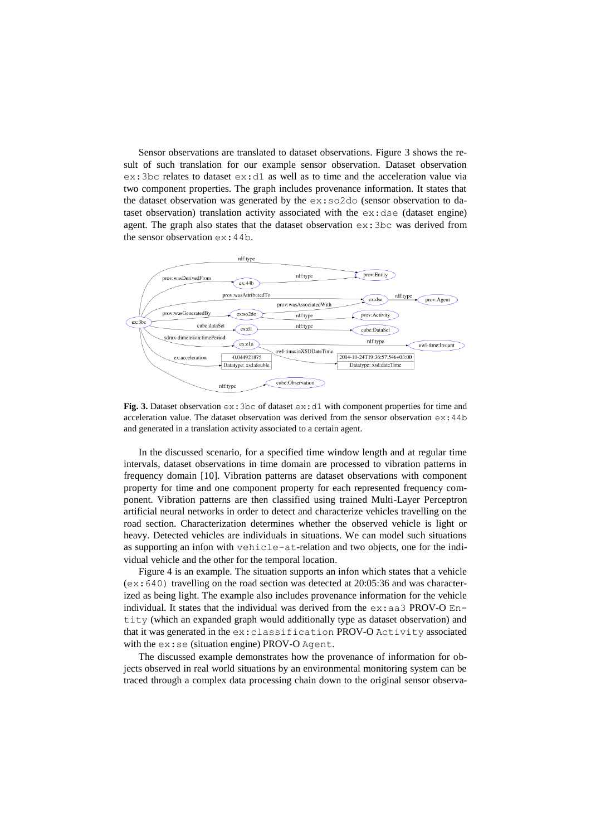Sensor observations are translated to dataset observations. Figure 3 shows the result of such translation for our example sensor observation. Dataset observation ex:3bc relates to dataset ex:d1 as well as to time and the acceleration value via two component properties. The graph includes provenance information. It states that the dataset observation was generated by the ex:so2do (sensor observation to dataset observation) translation activity associated with the ex:dse (dataset engine) agent. The graph also states that the dataset observation  $\epsilon \times 3$  bc was derived from the sensor observation ex:44b.



Fig. 3. Dataset observation  $ex:3bc$  of dataset  $ex:d1$  with component properties for time and acceleration value. The dataset observation was derived from the sensor observation ex:44b and generated in a translation activity associated to a certain agent.

In the discussed scenario, for a specified time window length and at regular time intervals, dataset observations in time domain are processed to vibration patterns in frequency domain [10]. Vibration patterns are dataset observations with component property for time and one component property for each represented frequency component. Vibration patterns are then classified using trained Multi-Layer Perceptron artificial neural networks in order to detect and characterize vehicles travelling on the road section. Characterization determines whether the observed vehicle is light or heavy. Detected vehicles are individuals in situations. We can model such situations as supporting an infon with vehicle-at-relation and two objects, one for the individual vehicle and the other for the temporal location.

Figure 4 is an example. The situation supports an infon which states that a vehicle (ex:640) travelling on the road section was detected at 20:05:36 and was characterized as being light. The example also includes provenance information for the vehicle individual. It states that the individual was derived from the  $\epsilon x$ : aa3 PROV-O Entity (which an expanded graph would additionally type as dataset observation) and that it was generated in the ex:classification PROV-O Activity associated with the ex:se (situation engine) PROV-O Agent.

The discussed example demonstrates how the provenance of information for objects observed in real world situations by an environmental monitoring system can be traced through a complex data processing chain down to the original sensor observa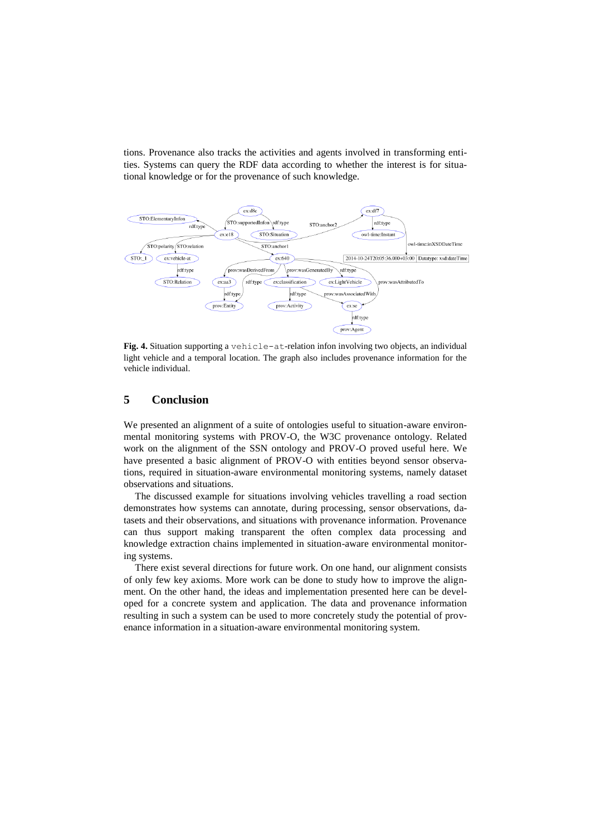tions. Provenance also tracks the activities and agents involved in transforming entities. Systems can query the RDF data according to whether the interest is for situational knowledge or for the provenance of such knowledge.



Fig. 4. Situation supporting a vehicle-at-relation infon involving two objects, an individual light vehicle and a temporal location. The graph also includes provenance information for the vehicle individual.

## **5 Conclusion**

We presented an alignment of a suite of ontologies useful to situation-aware environmental monitoring systems with PROV-O, the W3C provenance ontology. Related work on the alignment of the SSN ontology and PROV-O proved useful here. We have presented a basic alignment of PROV-O with entities beyond sensor observations, required in situation-aware environmental monitoring systems, namely dataset observations and situations.

The discussed example for situations involving vehicles travelling a road section demonstrates how systems can annotate, during processing, sensor observations, datasets and their observations, and situations with provenance information. Provenance can thus support making transparent the often complex data processing and knowledge extraction chains implemented in situation-aware environmental monitoring systems.

There exist several directions for future work. On one hand, our alignment consists of only few key axioms. More work can be done to study how to improve the alignment. On the other hand, the ideas and implementation presented here can be developed for a concrete system and application. The data and provenance information resulting in such a system can be used to more concretely study the potential of provenance information in a situation-aware environmental monitoring system.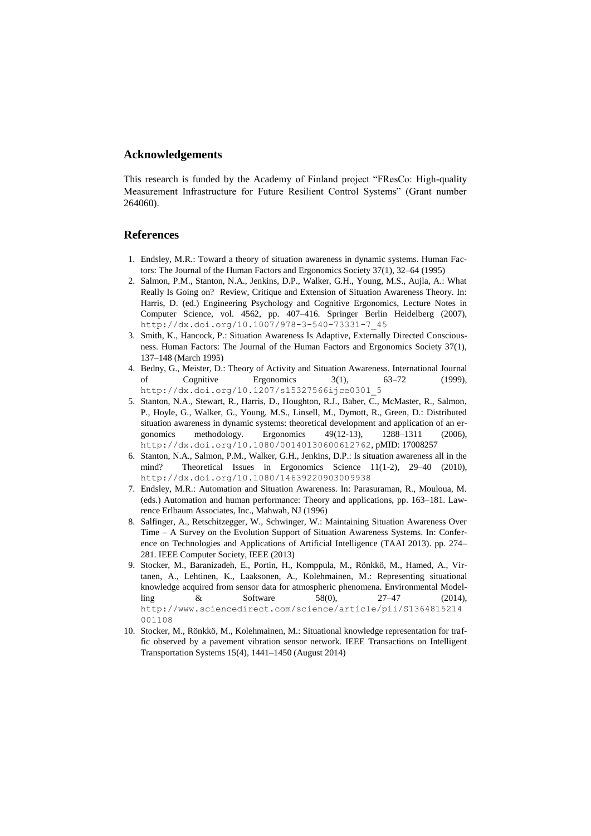#### **Acknowledgements**

This research is funded by the Academy of Finland project "FResCo: High-quality Measurement Infrastructure for Future Resilient Control Systems" (Grant number 264060).

### **References**

- 1. Endsley, M.R.: Toward a theory of situation awareness in dynamic systems. Human Factors: The Journal of the Human Factors and Ergonomics Society 37(1), 32–64 (1995)
- 2. Salmon, P.M., Stanton, N.A., Jenkins, D.P., Walker, G.H., Young, M.S., Aujla, A.: What Really Is Going on? Review, Critique and Extension of Situation Awareness Theory. In: Harris, D. (ed.) Engineering Psychology and Cognitive Ergonomics, Lecture Notes in Computer Science, vol. 4562, pp. 407–416. Springer Berlin Heidelberg (2007), [http://dx.doi.org/10.1007/978-3-540-73331-7\\_45](http://dx.doi.org/10.1007/978-3-540-73331-7_45)
- 3. Smith, K., Hancock, P.: Situation Awareness Is Adaptive, Externally Directed Consciousness. Human Factors: The Journal of the Human Factors and Ergonomics Society 37(1), 137–148 (March 1995)
- 4. Bedny, G., Meister, D.: Theory of Activity and Situation Awareness. International Journal of Cognitive Ergonomics 3(1), 63–72 (1999), [http://dx.doi.org/10.1207/s15327566ijce0301\\_5](http://dx.doi.org/10.1207/s15327566ijce0301_5)
- 5. Stanton, N.A., Stewart, R., Harris, D., Houghton, R.J., Baber, C., McMaster, R., Salmon, P., Hoyle, G., Walker, G., Young, M.S., Linsell, M., Dymott, R., Green, D.: Distributed situation awareness in dynamic systems: theoretical development and application of an ergonomics methodology. Ergonomics 49(12-13), 1288–1311 (2006), http://dx.doi.org/10.1080/00140130600612762, pMID: 17008257
- 6. Stanton, N.A., Salmon, P.M., Walker, G.H., Jenkins, D.P.: Is situation awareness all in the mind? Theoretical Issues in Ergonomics Science 11(1-2), 29–40 (2010), <http://dx.doi.org/10.1080/14639220903009938>
- 7. Endsley, M.R.: Automation and Situation Awareness. In: Parasuraman, R., Mouloua, M. (eds.) Automation and human performance: Theory and applications, pp. 163–181. Lawrence Erlbaum Associates, Inc., Mahwah, NJ (1996)
- 8. Salfinger, A., Retschitzegger, W., Schwinger, W.: Maintaining Situation Awareness Over Time – A Survey on the Evolution Support of Situation Awareness Systems. In: Conference on Technologies and Applications of Artificial Intelligence (TAAI 2013). pp. 274– 281. IEEE Computer Society, IEEE (2013)
- 9. Stocker, M., Baranizadeh, E., Portin, H., Komppula, M., Rönkkö, M., Hamed, A., Virtanen, A., Lehtinen, K., Laaksonen, A., Kolehmainen, M.: Representing situational knowledge acquired from sensor data for atmospheric phenomena. Environmental Model- $\lim_{x \to 0} x$  Software 58(0), 27–47 (2014), [http://www.sciencedirect.com/science/article/pii/S1364815214](http://www.sciencedirect.com/science/article/pii/S1364815214001108) [001108](http://www.sciencedirect.com/science/article/pii/S1364815214001108)
- 10. Stocker, M., Rönkkö, M., Kolehmainen, M.: Situational knowledge representation for traffic observed by a pavement vibration sensor network. IEEE Transactions on Intelligent Transportation Systems 15(4), 1441–1450 (August 2014)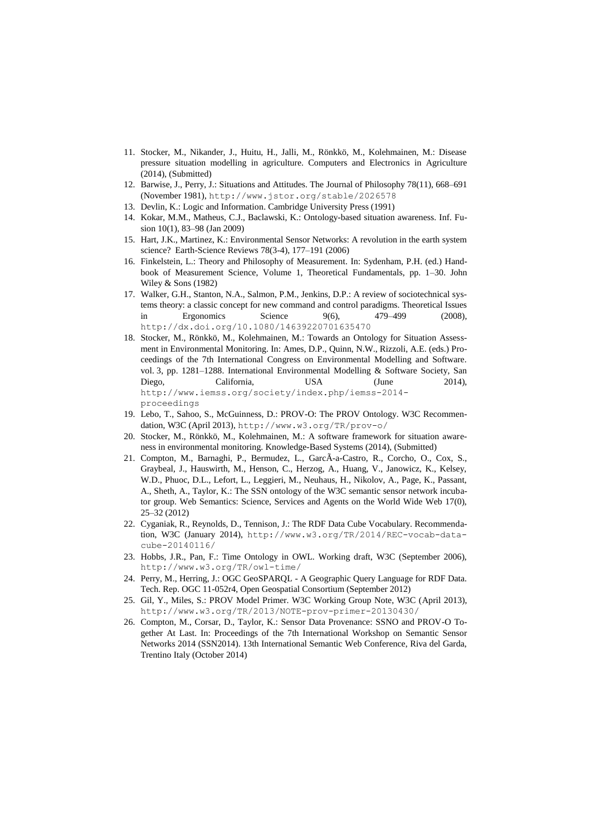- 11. Stocker, M., Nikander, J., Huitu, H., Jalli, M., Rönkkö, M., Kolehmainen, M.: Disease pressure situation modelling in agriculture. Computers and Electronics in Agriculture  $(2014)$ , (Submitted)
- 12. Barwise, J., Perry, J.: Situations and Attitudes. The Journal of Philosophy 78(11), 668–691 (November 1981), <http://www.jstor.org/stable/2026578>
- 13. Devlin, K.: Logic and Information. Cambridge University Press (1991)
- 14. Kokar, M.M., Matheus, C.J., Baclawski, K.: Ontology-based situation awareness. Inf. Fusion 10(1), 83–98 (Jan 2009)
- 15. Hart, J.K., Martinez, K.: Environmental Sensor Networks: A revolution in the earth system science? Earth-Science Reviews 78(3-4), 177–191 (2006)
- 16. Finkelstein, L.: Theory and Philosophy of Measurement. In: Sydenham, P.H. (ed.) Handbook of Measurement Science, Volume 1, Theoretical Fundamentals, pp. 1–30. John Wiley & Sons (1982)
- 17. Walker, G.H., Stanton, N.A., Salmon, P.M., Jenkins, D.P.: A review of sociotechnical systems theory: a classic concept for new command and control paradigms. Theoretical Issues in Ergonomics Science 9(6), 479–499 (2008), http://dx.doi.org/10.1080/14639220701635470
- 18. Stocker, M., Rönkkö, M., Kolehmainen, M.: Towards an Ontology for Situation Assessment in Environmental Monitoring. In: Ames, D.P., Quinn, N.W., Rizzoli, A.E. (eds.) Proceedings of the 7th International Congress on Environmental Modelling and Software. vol. 3, pp. 1281–1288. International Environmental Modelling & Software Society, San Diego, California, USA (June 2014), [http://www.iemss.org/society/index.php/iemss-2014](http://www.iemss.org/society/index.php/iemss-2014-proceedings) [proceedings](http://www.iemss.org/society/index.php/iemss-2014-proceedings)
- 19. Lebo, T., Sahoo, S., McGuinness, D.: PROV-O: The PROV Ontology. W3C Recommendation, W3C (April 2013), <http://www.w3.org/TR/prov-o/>
- 20. Stocker, M., Rönkkö, M., Kolehmainen, M.: A software framework for situation awareness in environmental monitoring. Knowledge-Based Systems (2014), (Submitted)
- 21. Compton, M., Barnaghi, P., Bermudez, L., GarcA-a-Castro, R., Corcho, O., Cox, S., Graybeal, J., Hauswirth, M., Henson, C., Herzog, A., Huang, V., Janowicz, K., Kelsey, W.D., Phuoc, D.L., Lefort, L., Leggieri, M., Neuhaus, H., Nikolov, A., Page, K., Passant, A., Sheth, A., Taylor, K.: The SSN ontology of the W3C semantic sensor network incubator group. Web Semantics: Science, Services and Agents on the World Wide Web 17(0), 25–32 (2012)
- 22. Cyganiak, R., Reynolds, D., Tennison, J.: The RDF Data Cube Vocabulary. Recommendation, W3C (January 2014), [http://www.w3.org/TR/2014/REC-vocab-data](http://www.w3.org/TR/2014/REC-vocab-data-cube-20140116/)[cube-20140116/](http://www.w3.org/TR/2014/REC-vocab-data-cube-20140116/)
- 23. Hobbs, J.R., Pan, F.: Time Ontology in OWL. Working draft, W3C (September 2006), <http://www.w3.org/TR/owl-time/>
- 24. Perry, M., Herring, J.: OGC GeoSPARQL A Geographic Query Language for RDF Data. Tech. Rep. OGC 11-052r4, Open Geospatial Consortium (September 2012)
- 25. Gil, Y., Miles, S.: PROV Model Primer. W3C Working Group Note, W3C (April 2013), <http://www.w3.org/TR/2013/NOTE-prov-primer-20130430/>
- 26. Compton, M., Corsar, D., Taylor, K.: Sensor Data Provenance: SSNO and PROV-O Together At Last. In: Proceedings of the 7th International Workshop on Semantic Sensor Networks 2014 (SSN2014). 13th International Semantic Web Conference, Riva del Garda, Trentino Italy (October 2014)